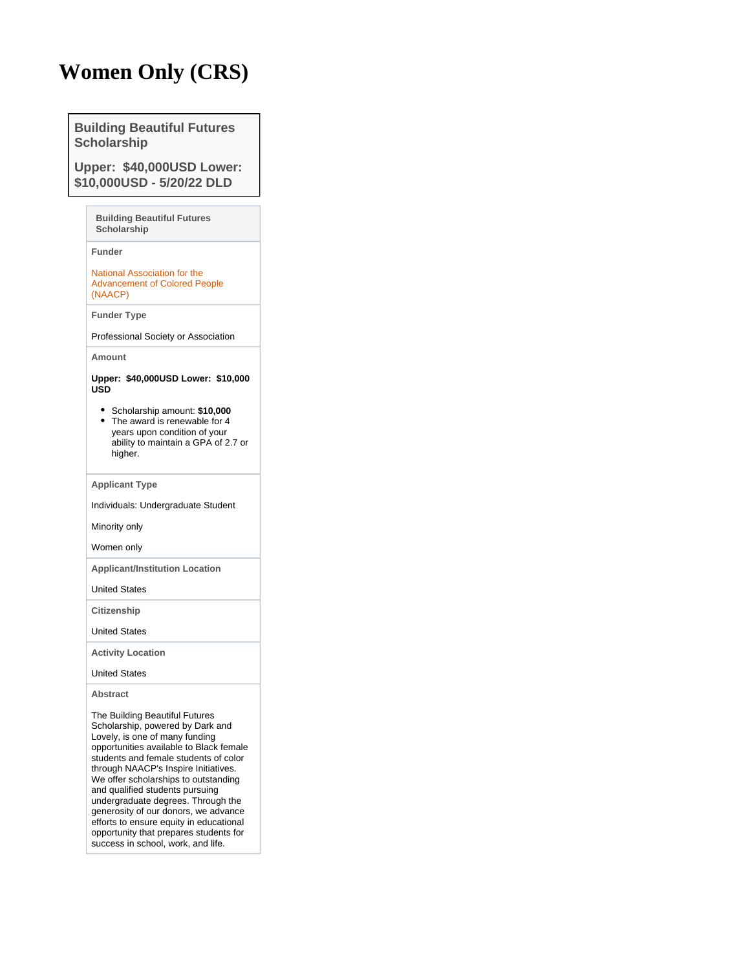## **Women Only (CRS)**

**Building Beautiful Futures Scholarship**

**Upper: \$40,000USD Lower: \$10,000USD - 5/20/22 DLD**

> **Building Beautiful Futures Scholarship**

**Funder**

[National Association for the](https://pivot.proquest.com/funding/results?quick_search=true&sponsorId=%22125f3d5c-ec36-4012-ad82-d1d75de8f0f3%22&sponsorParentId=%22125f3d5c-ec36-4012-ad82-d1d75de8f0f3%22)  [Advancement of Colored People](https://pivot.proquest.com/funding/results?quick_search=true&sponsorId=%22125f3d5c-ec36-4012-ad82-d1d75de8f0f3%22&sponsorParentId=%22125f3d5c-ec36-4012-ad82-d1d75de8f0f3%22)  [\(NAACP\)](https://pivot.proquest.com/funding/results?quick_search=true&sponsorId=%22125f3d5c-ec36-4012-ad82-d1d75de8f0f3%22&sponsorParentId=%22125f3d5c-ec36-4012-ad82-d1d75de8f0f3%22)

**Funder Type**

Professional Society or Association

**Amount**

## **Upper: \$40,000USD Lower: \$10,000 USD**

- Scholarship amount: **\$10,000** • The award is renewable for 4 years upon condition of your
- ability to maintain a GPA of 2.7 or higher.

**Applicant Type**

Individuals: Undergraduate Student

Minority only

Women only

**Applicant/Institution Location**

United States

**Citizenship**

United States

**Activity Location**

United States

**Abstract**

The Building Beautiful Futures Scholarship, powered by Dark and Lovely, is one of many funding opportunities available to Black female students and female students of color through NAACP's Inspire Initiatives. We offer scholarships to outstanding and qualified students pursuing undergraduate degrees. Through the generosity of our donors, we advance efforts to ensure equity in educational opportunity that prepares students for success in school, work, and life.